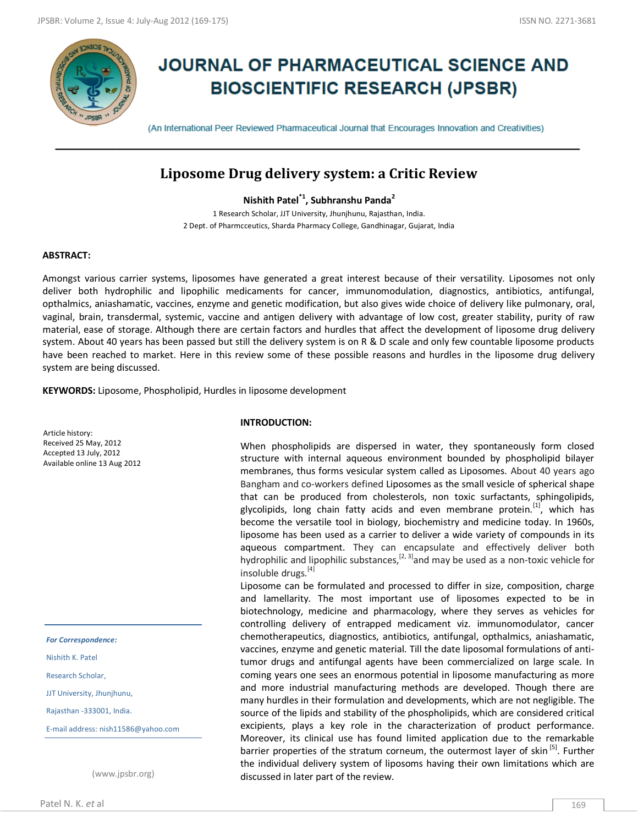

# **JOURNAL OF PHARMACEUTICAL SCIENCE AND BIOSCIENTIFIC RESEARCH (JPSBR)**

(An International Peer Reviewed Pharmaceutical Journal that Encourages Innovation and Creativities)

# **Liposome Drug delivery system: a Critic Review**

**Nishith Patel\*1 , Subhranshu Panda<sup>2</sup>**

1 Research Scholar, JJT University, Jhunjhunu, Rajasthan, India. 2 Dept. of Pharmcceutics, Sharda Pharmacy College, Gandhinagar, Gujarat, India

## **ABSTRACT:**

Amongst various carrier systems, liposomes have generated a great interest because of their versatility. Liposomes not only deliver both hydrophilic and lipophilic medicaments for cancer, immunomodulation, diagnostics, antibiotics, antifungal, opthalmics, aniashamatic, vaccines, enzyme and genetic modification, but also gives wide choice of delivery like pulmonary, oral, vaginal, brain, transdermal, systemic, vaccine and antigen delivery with advantage of low cost, greater stability, purity of raw material, ease of storage. Although there are certain factors and hurdles that affect the development of liposome drug delivery system. About 40 years has been passed but still the delivery system is on R & D scale and only few countable liposome products have been reached to market. Here in this review some of these possible reasons and hurdles in the liposome drug delivery system are being discussed.

**KEYWORDS:** Liposome, Phospholipid, Hurdles in liposome development

Article history: Received 25 May, 2012 Accepted 13 July, 2012 Available online 13 Aug 2012

*For Correspondence:*

Nishith K. Patel

Research Scholar,

JJT University, Jhunjhunu,

Rajasthan -333001, India.

E-mail address: nish11586@yahoo.com

(www.jpsbr.org)

#### **INTRODUCTION:**

When phospholipids are dispersed in water, they spontaneously form closed structure with internal aqueous environment bounded by phospholipid bilayer membranes, thus forms vesicular system called as Liposomes. About 40 years ago Bangham and co-workers defined Liposomes as the small vesicle of spherical shape that can be produced from cholesterols, non toxic surfactants, sphingolipids, glycolipids, long chain fatty acids and even membrane protein.<sup>[1]</sup>, which has become the versatile tool in biology, biochemistry and medicine today. In 1960s, liposome has been used as a carrier to deliver a wide variety of compounds in its aqueous compartment. They can encapsulate and effectively deliver both hydrophilic and lipophilic substances,  $[2, 3]$  and may be used as a non-toxic vehicle for insoluble drugs.<sup>[4]</sup>

Liposome can be formulated and processed to differ in size, composition, charge and lamellarity. The most important use of liposomes expected to be in biotechnology, medicine and pharmacology, where they serves as vehicles for controlling delivery of entrapped medicament viz. immunomodulator, cancer chemotherapeutics, diagnostics, antibiotics, antifungal, opthalmics, aniashamatic, vaccines, enzyme and genetic material. Till the date liposomal formulations of antitumor drugs and antifungal agents have been commercialized on large scale. In coming years one sees an enormous potential in liposome manufacturing as more and more industrial manufacturing methods are developed. Though there are many hurdles in their formulation and developments, which are not negligible. The source of the lipids and stability of the phospholipids, which are considered critical excipients, plays a key role in the characterization of product performance. Moreover, its clinical use has found limited application due to the remarkable barrier properties of the stratum corneum, the outermost layer of skin<sup>[5]</sup>. Further the individual delivery system of liposoms having their own limitations which are discussed in later part of the review.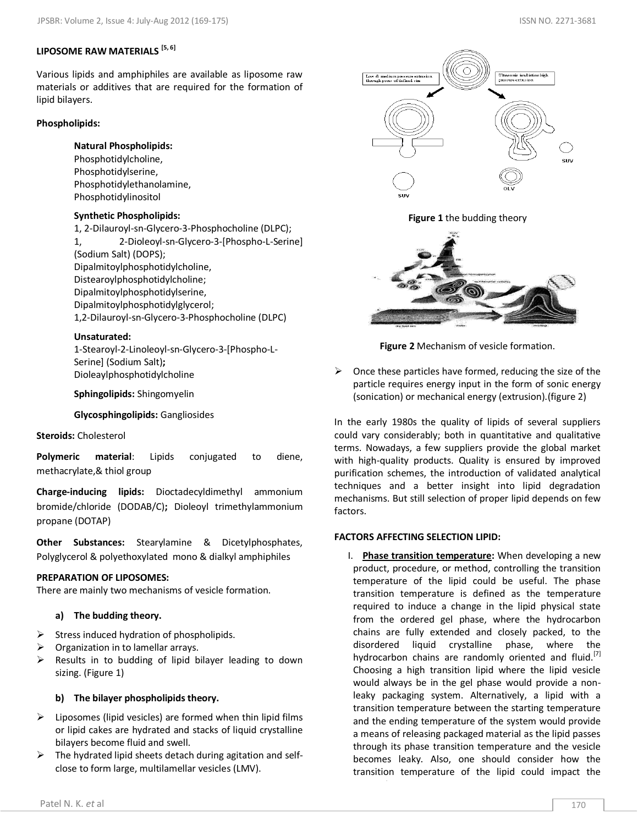# **LIPOSOME RAW MATERIALS [5, 6]**

Various lipids and amphiphiles are available as liposome raw materials or additives that are required for the formation of lipid bilayers.

# **Phospholipids:**

# **Natural Phospholipids:**

Phosphotidylcholine, Phosphotidylserine, Phosphotidylethanolamine, Phosphotidylinositol

# **Synthetic Phospholipids:**

1, 2-Dilauroyl-sn-Glycero-3-Phosphocholine (DLPC); 1, 2-Dioleoyl-sn-Glycero-3-[Phospho-L-Serine] (Sodium Salt) (DOPS); Dipalmitoylphosphotidylcholine, Distearoylphosphotidylcholine; Dipalmitoylphosphotidylserine, Dipalmitoylphosphotidylglycerol; 1,2-Dilauroyl-sn-Glycero-3-Phosphocholine (DLPC)

# **Unsaturated:**

1-Stearoyl-2-Linoleoyl-sn-Glycero-3-[Phospho-L-Serine] (Sodium Salt)**;**  Dioleaylphosphotidylcholine

**Sphingolipids:** Shingomyelin

**Glycosphingolipids:** Gangliosides

# **Steroids:** Cholesterol

**Polymeric material**: Lipids conjugated to diene, methacrylate,& thiol group

**Charge-inducing lipids:** Dioctadecyldimethyl ammonium bromide/chloride (DODAB/C)**;** Dioleoyl trimethylammonium propane (DOTAP)

**Other Substances:** Stearylamine & Dicetylphosphates, Polyglycerol & polyethoxylated mono & dialkyl amphiphiles

# **PREPARATION OF LIPOSOMES:**

There are mainly two mechanisms of vesicle formation.

# **a) The budding theory.**

- $\triangleright$  Stress induced hydration of phospholipids.
- Organization in to lamellar arrays.
- $\triangleright$  Results in to budding of lipid bilayer leading to down sizing. (Figure 1)

# **b) The bilayer phospholipids theory.**

- $\triangleright$  Liposomes (lipid vesicles) are formed when thin lipid films or lipid cakes are hydrated and stacks of liquid crystalline bilayers become fluid and swell.
- $\triangleright$  The hydrated lipid sheets detach during agitation and selfclose to form large, multilamellar vesicles (LMV).



**Figure 1** the budding theory



**Figure 2** Mechanism of vesicle formation.

 $\triangleright$  Once these particles have formed, reducing the size of the particle requires energy input in the form of sonic energy (sonication) or mechanical energy (extrusion).(figure 2)

In the early 1980s the quality of lipids of several suppliers could vary considerably; both in quantitative and qualitative terms. Nowadays, a few suppliers provide the global market with high-quality products. Quality is ensured by improved purification schemes, the introduction of validated analytical techniques and a better insight into lipid degradation mechanisms. But still selection of proper lipid depends on few factors.

# **FACTORS AFFECTING SELECTION LIPID:**

I. **Phase transition temperature:** When developing a new product, procedure, or method, controlling the transition temperature of the lipid could be useful. The phase transition temperature is defined as the temperature required to induce a change in the lipid physical state from the ordered gel phase, where the hydrocarbon chains are fully extended and closely packed, to the disordered liquid crystalline phase, where the hydrocarbon chains are randomly oriented and fluid.<sup>[7]</sup> Choosing a high transition lipid where the lipid vesicle would always be in the gel phase would provide a nonleaky packaging system. Alternatively, a lipid with a transition temperature between the starting temperature and the ending temperature of the system would provide a means of releasing packaged material as the lipid passes through its phase transition temperature and the vesicle becomes leaky. Also, one should consider how the transition temperature of the lipid could impact the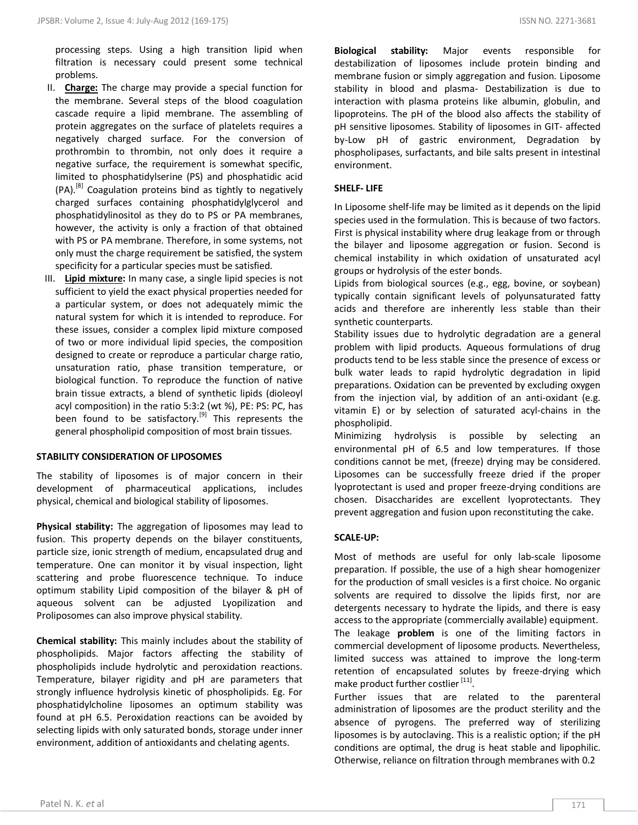processing steps. Using a high transition lipid when filtration is necessary could present some technical problems.

- II. **Charge:** The charge may provide a special function for the membrane. Several steps of the blood coagulation cascade require a lipid membrane. The assembling of protein aggregates on the surface of platelets requires a negatively charged surface. For the conversion of prothrombin to thrombin, not only does it require a negative surface, the requirement is somewhat specific, limited to phosphatidylserine (PS) and phosphatidic acid (PA).[8] Coagulation proteins bind as tightly to negatively charged surfaces containing phosphatidylglycerol and phosphatidylinositol as they do to PS or PA membranes, however, the activity is only a fraction of that obtained with PS or PA membrane. Therefore, in some systems, not only must the charge requirement be satisfied, the system specificity for a particular species must be satisfied.
- III. **Lipid mixture:** In many case, a single lipid species is not sufficient to yield the exact physical properties needed for a particular system, or does not adequately mimic the natural system for which it is intended to reproduce. For these issues, consider a complex lipid mixture composed of two or more individual lipid species, the composition designed to create or reproduce a particular charge ratio, unsaturation ratio, phase transition temperature, or biological function. To reproduce the function of native brain tissue extracts, a blend of synthetic lipids (dioleoyl acyl composition) in the ratio 5:3:2 (wt %), PE: PS: PC, has been found to be satisfactory.<sup>[9]</sup> This represents the general phospholipid composition of most brain tissues.

#### **STABILITY CONSIDERATION OF LIPOSOMES**

The stability of liposomes is of major concern in their development of pharmaceutical applications, includes physical, chemical and biological stability of liposomes.

**Physical stability:** The aggregation of liposomes may lead to fusion. This property depends on the bilayer constituents, particle size, ionic strength of medium, encapsulated drug and temperature. One can monitor it by visual inspection, light scattering and probe fluorescence technique. To induce optimum stability Lipid composition of the bilayer & pH of aqueous solvent can be adjusted Lyopilization and Proliposomes can also improve physical stability.

**Chemical stability:** This mainly includes about the stability of phospholipids. Major factors affecting the stability of phospholipids include hydrolytic and peroxidation reactions. Temperature, bilayer rigidity and pH are parameters that strongly influence hydrolysis kinetic of phospholipids. Eg. For phosphatidylcholine liposomes an optimum stability was found at pH 6.5. Peroxidation reactions can be avoided by selecting lipids with only saturated bonds, storage under inner environment, addition of antioxidants and chelating agents.

**Biological stability:** Major events responsible for destabilization of liposomes include protein binding and membrane fusion or simply aggregation and fusion. Liposome stability in blood and plasma- Destabilization is due to interaction with plasma proteins like albumin, globulin, and lipoproteins. The pH of the blood also affects the stability of pH sensitive liposomes. Stability of liposomes in GIT- affected by-Low pH of gastric environment, Degradation by phospholipases, surfactants, and bile salts present in intestinal environment.

#### **SHELF- LIFE**

In Liposome shelf-life may be limited as it depends on the lipid species used in the formulation. This is because of two factors. First is physical instability where drug leakage from or through the bilayer and liposome aggregation or fusion. Second is chemical instability in which oxidation of unsaturated acyl groups or hydrolysis of the ester bonds.

Lipids from biological sources (e.g., egg, bovine, or soybean) typically contain significant levels of polyunsaturated fatty acids and therefore are inherently less stable than their synthetic counterparts.

Stability issues due to hydrolytic degradation are a general problem with lipid products. Aqueous formulations of drug products tend to be less stable since the presence of excess or bulk water leads to rapid hydrolytic degradation in lipid preparations. Oxidation can be prevented by excluding oxygen from the injection vial, by addition of an anti-oxidant (e.g. vitamin E) or by selection of saturated acyl-chains in the phospholipid.

Minimizing hydrolysis is possible by selecting an environmental pH of 6.5 and low temperatures. If those conditions cannot be met, (freeze) drying may be considered. Liposomes can be successfully freeze dried if the proper lyoprotectant is used and proper freeze-drying conditions are chosen. Disaccharides are excellent lyoprotectants. They prevent aggregation and fusion upon reconstituting the cake.

#### **SCALE-UP:**

Most of methods are useful for only lab-scale liposome preparation. If possible, the use of a high shear homogenizer for the production of small vesicles is a first choice. No organic solvents are required to dissolve the lipids first, nor are detergents necessary to hydrate the lipids, and there is easy access to the appropriate (commercially available) equipment. The leakage **problem** is one of the limiting factors in commercial development of liposome products. Nevertheless, limited success was attained to improve the long-term retention of encapsulated solutes by freeze-drying which make product further costlier <sup>[11]</sup>.

Further issues that are related to the parenteral administration of liposomes are the product sterility and the absence of pyrogens. The preferred way of sterilizing liposomes is by autoclaving. This is a realistic option; if the pH conditions are optimal, the drug is heat stable and lipophilic. Otherwise, reliance on filtration through membranes with 0.2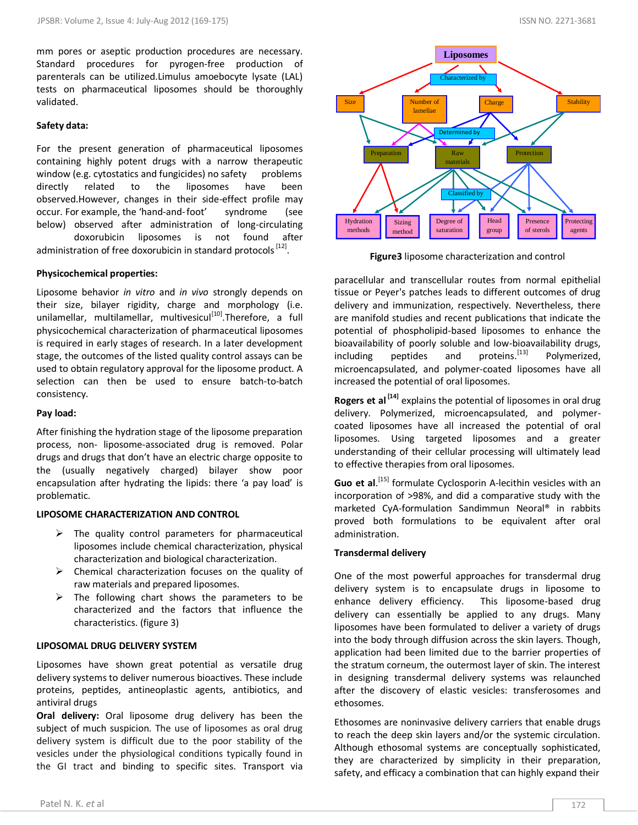#### **Safety data:**

For the present generation of pharmaceutical liposomes containing highly potent drugs with a narrow therapeutic window (e.g. cytostatics and fungicides) no safety problems directly related to the liposomes have been observed.However, changes in their side-effect profile may occur. For example, the 'hand-and-foot' syndrome (see below) observed after administration of long-circulating doxorubicin liposomes is not found after

administration of free doxorubicin in standard protocols <sup>[12]</sup>.

## **Physicochemical properties:**

Liposome behavior *in vitro* and *in vivo* strongly depends on their size, bilayer rigidity, charge and morphology (i.e. unilamellar, multilamellar, multivesicul<sup>[10]</sup>. Therefore, a full physicochemical characterization of pharmaceutical liposomes is required in early stages of research. In a later development stage, the outcomes of the listed quality control assays can be used to obtain regulatory approval for the liposome product. A selection can then be used to ensure batch-to-batch consistency.

#### **Pay load:**

After finishing the hydration stage of the liposome preparation process, non- liposome-associated drug is removed. Polar drugs and drugs that don't have an electric charge opposite to the (usually negatively charged) bilayer show poor encapsulation after hydrating the lipids: there 'a pay load' is problematic.

# **LIPOSOME CHARACTERIZATION AND CONTROL**

- $\triangleright$  The quality control parameters for pharmaceutical liposomes include chemical characterization, physical characterization and biological characterization.
- $\triangleright$  Chemical characterization focuses on the quality of raw materials and prepared liposomes.
- $\triangleright$  The following chart shows the parameters to be characterized and the factors that influence the characteristics. (figure 3)

#### **LIPOSOMAL DRUG DELIVERY SYSTEM**

Liposomes have shown great potential as versatile drug delivery systems to deliver numerous bioactives. These include proteins, peptides, antineoplastic agents, antibiotics, and antiviral drugs

**Oral delivery:** Oral liposome drug delivery has been the subject of much suspicion. The use of liposomes as oral drug delivery system is difficult due to the poor stability of the vesicles under the physiological conditions typically found in the GI tract and binding to specific sites. Transport via



**Figure3** liposome characterization and control

paracellular and transcellular routes from normal epithelial tissue or Peyer's patches leads to different outcomes of drug delivery and immunization, respectively. Nevertheless, there are manifold studies and recent publications that indicate the potential of phospholipid-based liposomes to enhance the bioavailability of poorly soluble and low-bioavailability drugs,<br>including peptides and proteins.<sup>[13]</sup> Polymerized, including peptides and proteins. $[13]$  Polymerized, microencapsulated, and polymer-coated liposomes have all increased the potential of oral liposomes.

**Rogers et al [14]** explains the potential of liposomes in oral drug delivery. Polymerized, microencapsulated, and polymercoated liposomes have all increased the potential of oral liposomes. Using targeted liposomes and a greater understanding of their cellular processing will ultimately lead to effective therapies from oral liposomes.

Guo et al.<sup>[15]</sup> formulate Cyclosporin A-lecithin vesicles with an incorporation of >98%, and did a comparative study with the marketed CyA-formulation Sandimmun Neoral® in rabbits proved both formulations to be equivalent after oral administration.

# **Transdermal delivery**

One of the most powerful approaches for transdermal drug delivery system is to encapsulate drugs in liposome to enhance delivery efficiency. This liposome-based drug delivery can essentially be applied to any drugs. Many liposomes have been formulated to deliver a variety of drugs into the body through diffusion across the skin layers. Though, application had been limited due to the barrier properties of the stratum corneum, the outermost layer of skin. The interest in designing transdermal delivery systems was relaunched after the discovery of elastic vesicles: transferosomes and ethosomes.

Ethosomes are noninvasive delivery carriers that enable drugs to reach the deep skin layers and/or the systemic circulation. Although ethosomal systems are conceptually sophisticated, they are characterized by simplicity in their preparation, safety, and efficacy a combination that can highly expand their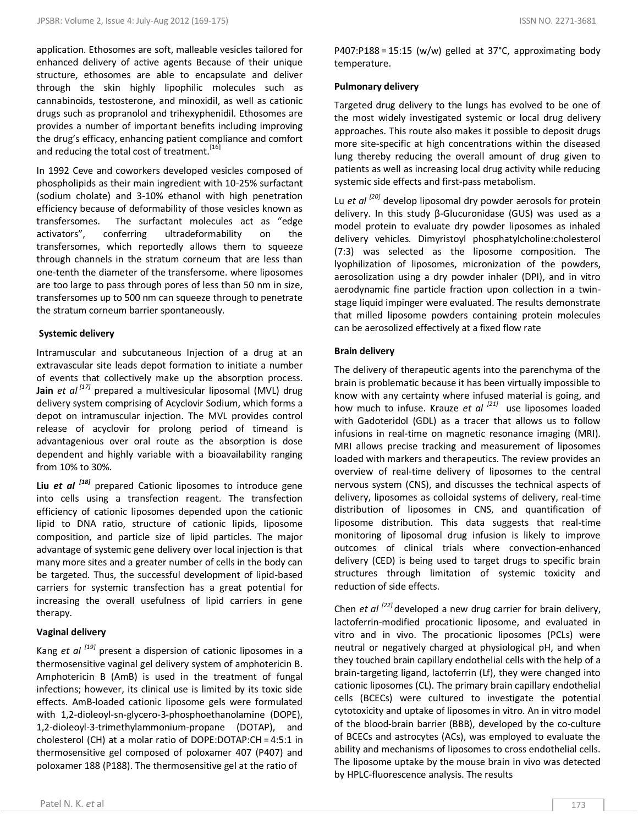application. Ethosomes are soft, malleable vesicles tailored for enhanced delivery of active agents Because of their unique structure, ethosomes are able to encapsulate and deliver through the skin highly lipophilic molecules such as cannabinoids, testosterone, and minoxidil, as well as cationic drugs such as propranolol and trihexyphenidil. Ethosomes are provides a number of important benefits including improving the drug's efficacy, enhancing patient compliance and comfort and reducing the total cost of treatment.<sup>[16]</sup>

In 1992 Ceve and coworkers developed vesicles composed of phospholipids as their main ingredient with 10-25% surfactant (sodium cholate) and 3-10% ethanol with high penetration efficiency because of deformability of those vesicles known as transfersomes. The surfactant molecules act as "edge activators", conferring ultradeformability on the transfersomes, which reportedly allows them to squeeze through channels in the stratum corneum that are less than one-tenth the diameter of the transfersome. where liposomes are too large to pass through pores of less than 50 nm in size, transfersomes up to 500 nm can squeeze through to penetrate the stratum corneum barrier spontaneously.

#### **Systemic delivery**

Intramuscular and subcutaneous Injection of a drug at an extravascular site leads depot formation to initiate a number of events that collectively make up the absorption process. **Jain** *et al [17]* prepared a multivesicular liposomal (MVL) drug delivery system comprising of Acyclovir Sodium, which forms a depot on intramuscular injection. The MVL provides control release of acyclovir for prolong period of timeand is advantagenious over oral route as the absorption is dose dependent and highly variable with a bioavailability ranging from 10% to 30%.

**Liu** *et al [18]* prepared Cationic liposomes to introduce gene into cells using a transfection reagent. The transfection efficiency of cationic liposomes depended upon the cationic lipid to DNA ratio, structure of cationic lipids, liposome composition, and particle size of lipid particles. The major advantage of systemic gene delivery over local injection is that many more sites and a greater number of cells in the body can be targeted. Thus, the successful development of lipid-based carriers for systemic transfection has a great potential for increasing the overall usefulness of lipid carriers in gene therapy.

# **Vaginal delivery**

Kang *et al [19]* present a dispersion of cationic liposomes in a thermosensitive vaginal gel delivery system of amphotericin B. Amphotericin B (AmB) is used in the treatment of fungal infections; however, its clinical use is limited by its toxic side effects. AmB-loaded cationic liposome gels were formulated with 1,2-dioleoyl-sn-glycero-3-phosphoethanolamine (DOPE), 1,2-dioleoyl-3-trimethylammonium-propane (DOTAP), and cholesterol (CH) at a molar ratio of DOPE:DOTAP:CH = 4:5:1 in thermosensitive gel composed of poloxamer 407 (P407) and poloxamer 188 (P188). The thermosensitive gel at the ratio of

P407:P188 = 15:15 (w/w) gelled at 37°C, approximating body temperature.

#### **Pulmonary delivery**

Targeted drug delivery to the lungs has evolved to be one of the most widely investigated systemic or local drug delivery approaches. This route also makes it possible to deposit drugs more site-specific at high concentrations within the diseased lung thereby reducing the overall amount of drug given to patients as well as increasing local drug activity while reducing systemic side effects and first-pass metabolism.

Lu *et al [20]* develop liposomal dry powder aerosols for protein delivery. In this study β-Glucuronidase (GUS) was used as a model protein to evaluate dry powder liposomes as inhaled delivery vehicles. Dimyristoyl phosphatylcholine:cholesterol (7:3) was selected as the liposome composition. The lyophilization of liposomes, micronization of the powders, aerosolization using a dry powder inhaler (DPI), and in vitro aerodynamic fine particle fraction upon collection in a twinstage liquid impinger were evaluated. The results demonstrate that milled liposome powders containing protein molecules can be aerosolized effectively at a fixed flow rate

#### **Brain delivery**

The delivery of therapeutic agents into the parenchyma of the brain is problematic because it has been virtually impossible to know with any certainty where infused material is going, and how much to infuse. Krauze *et al [21]* use liposomes loaded with Gadoteridol (GDL) as a tracer that allows us to follow infusions in real-time on magnetic resonance imaging (MRI). MRI allows precise tracking and measurement of liposomes loaded with markers and therapeutics. The review provides an overview of real-time delivery of liposomes to the central nervous system (CNS), and discusses the technical aspects of delivery, liposomes as colloidal systems of delivery, real-time distribution of liposomes in CNS, and quantification of liposome distribution. This data suggests that real-time monitoring of liposomal drug infusion is likely to improve outcomes of clinical trials where convection-enhanced delivery (CED) is being used to target drugs to specific brain structures through limitation of systemic toxicity and reduction of side effects.

Chen *et al* <sup>[22]</sup> developed a new drug carrier for brain delivery, lactoferrin-modified procationic liposome, and evaluated in vitro and in vivo. The procationic liposomes (PCLs) were neutral or negatively charged at physiological pH, and when they touched brain capillary endothelial cells with the help of a brain-targeting ligand, lactoferrin (Lf), they were changed into cationic liposomes (CL). The primary brain capillary endothelial cells (BCECs) were cultured to investigate the potential cytotoxicity and uptake of liposomes in vitro. An in vitro model of the blood-brain barrier (BBB), developed by the co-culture of BCECs and astrocytes (ACs), was employed to evaluate the ability and mechanisms of liposomes to cross endothelial cells. The liposome uptake by the mouse brain in vivo was detected by HPLC-fluorescence analysis. The results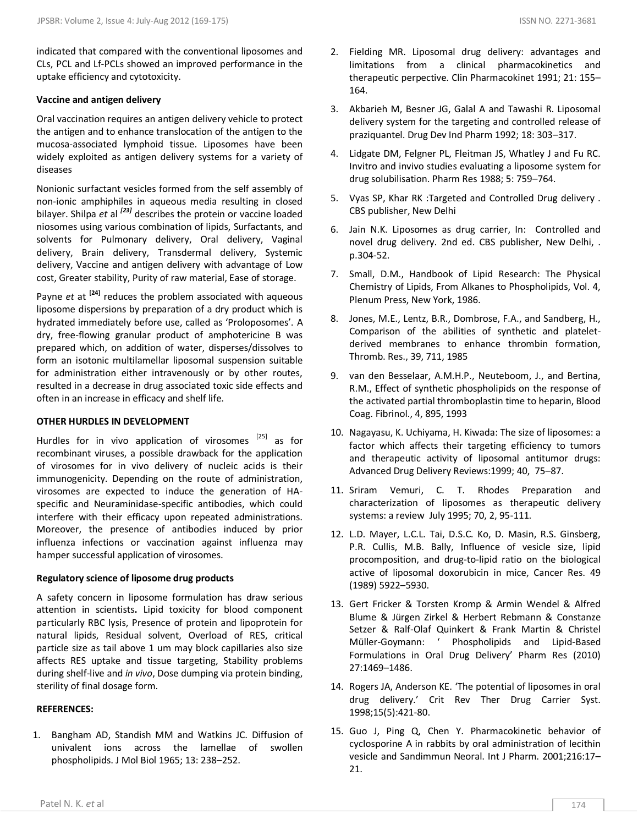indicated that compared with the conventional liposomes and CLs, PCL and Lf-PCLs showed an improved performance in the uptake efficiency and cytotoxicity.

#### **Vaccine and antigen delivery**

Oral vaccination requires an antigen delivery vehicle to protect the antigen and to enhance translocation of the antigen to the mucosa-associated lymphoid tissue. Liposomes have been widely exploited as antigen delivery systems for a variety of diseases

Nonionic surfactant vesicles formed from the self assembly of non-ionic amphiphiles in aqueous media resulting in closed bilayer. Shilpa *et* al *[23]* describes the protein or vaccine loaded niosomes using various combination of lipids, Surfactants, and solvents for Pulmonary delivery, Oral delivery, Vaginal delivery, Brain delivery, Transdermal delivery, Systemic delivery, Vaccine and antigen delivery with advantage of Low cost, Greater stability, Purity of raw material, Ease of storage.

Payne *et* at **[24]** reduces the problem associated with aqueous liposome dispersions by preparation of a dry product which is hydrated immediately before use, called as 'Proloposomes'. A dry, free-flowing granular product of amphotericine B was prepared which, on addition of water, disperses/dissolves to form an isotonic multilamellar liposomal suspension suitable for administration either intravenously or by other routes, resulted in a decrease in drug associated toxic side effects and often in an increase in efficacy and shelf life.

#### **OTHER HURDLES IN DEVELOPMENT**

Hurdles for in vivo application of virosomes  $^{[25]}$  as for recombinant viruses, a possible drawback for the application of virosomes for in vivo delivery of nucleic acids is their immunogenicity. Depending on the route of administration, virosomes are expected to induce the generation of HAspecific and Neuraminidase-specific antibodies, which could interfere with their efficacy upon repeated administrations. Moreover, the presence of antibodies induced by prior influenza infections or vaccination against influenza may hamper successful application of virosomes.

#### **Regulatory science of liposome drug products**

A safety concern in liposome formulation has draw serious attention in scientists**.** Lipid toxicity for blood component particularly RBC lysis, Presence of protein and lipoprotein for natural lipids, Residual solvent, Overload of RES, critical particle size as tail above 1 um may block capillaries also size affects RES uptake and tissue targeting, Stability problems during shelf-live and *in vivo*, Dose dumping via protein binding, sterility of final dosage form.

#### **REFERENCES:**

1. Bangham AD, Standish MM and Watkins JC. Diffusion of univalent ions across the lamellae of swollen phospholipids. J Mol Biol 1965; 13: 238–252.

- 2. Fielding MR. Liposomal drug delivery: advantages and limitations from a clinical pharmacokinetics and therapeutic perpective. Clin Pharmacokinet 1991; 21: 155– 164.
- 3. Akbarieh M, Besner JG, Galal A and Tawashi R. Liposomal delivery system for the targeting and controlled release of praziquantel. Drug Dev Ind Pharm 1992; 18: 303–317.
- 4. Lidgate DM, Felgner PL, Fleitman JS, Whatley J and Fu RC. Invitro and invivo studies evaluating a liposome system for drug solubilisation. Pharm Res 1988; 5: 759–764.
- 5. Vyas SP, Khar RK :Targeted and Controlled Drug delivery . CBS publisher, New Delhi
- 6. Jain N.K. Liposomes as drug carrier, In: Controlled and novel drug delivery. 2nd ed. CBS publisher, New Delhi, . p.304-52.
- 7. Small, D.M., Handbook of Lipid Research: The Physical Chemistry of Lipids, From Alkanes to Phospholipids, Vol. 4, Plenum Press, New York, 1986.
- 8. Jones, M.E., Lentz, B.R., Dombrose, F.A., and Sandberg, H., Comparison of the abilities of synthetic and plateletderived membranes to enhance thrombin formation, Thromb. Res., 39, 711, 1985
- 9. van den Besselaar, A.M.H.P., Neuteboom, J., and Bertina, R.M., Effect of synthetic phospholipids on the response of the activated partial thromboplastin time to heparin, Blood Coag. Fibrinol., 4, 895, 1993
- 10. Nagayasu, K. Uchiyama, H. Kiwada: The size of liposomes: a factor which affects their targeting efficiency to tumors and therapeutic activity of liposomal antitumor drugs: Advanced Drug Delivery Reviews:1999; 40, 75–87.
- 11. Sriram Vemuri, C. T. Rhodes Preparation and characterization of liposomes as therapeutic delivery systems: a review July 1995; 70, 2, 95-111.
- 12. L.D. Mayer, L.C.L. Tai, D.S.C. Ko, D. Masin, R.S. Ginsberg, P.R. Cullis, M.B. Bally, Influence of vesicle size, lipid procomposition, and drug-to-lipid ratio on the biological active of liposomal doxorubicin in mice, Cancer Res. 49 (1989) 5922–5930.
- 13. Gert Fricker & Torsten Kromp & Armin Wendel & Alfred Blume & Jürgen Zirkel & Herbert Rebmann & Constanze Setzer & Ralf-Olaf Quinkert & Frank Martin & Christel Müller-Goymann: ' Phospholipids and Lipid-Based Formulations in Oral Drug Delivery' Pharm Res (2010) 27:1469–1486.
- 14. Rogers JA, Anderson KE. 'The potential of liposomes in oral drug delivery.' Crit Rev Ther Drug Carrier Syst. 1998;15(5):421-80.
- 15. Guo J, Ping Q, Chen Y. Pharmacokinetic behavior of cyclosporine A in rabbits by oral administration of lecithin vesicle and Sandimmun Neoral. Int J Pharm. 2001;216:17– 21.